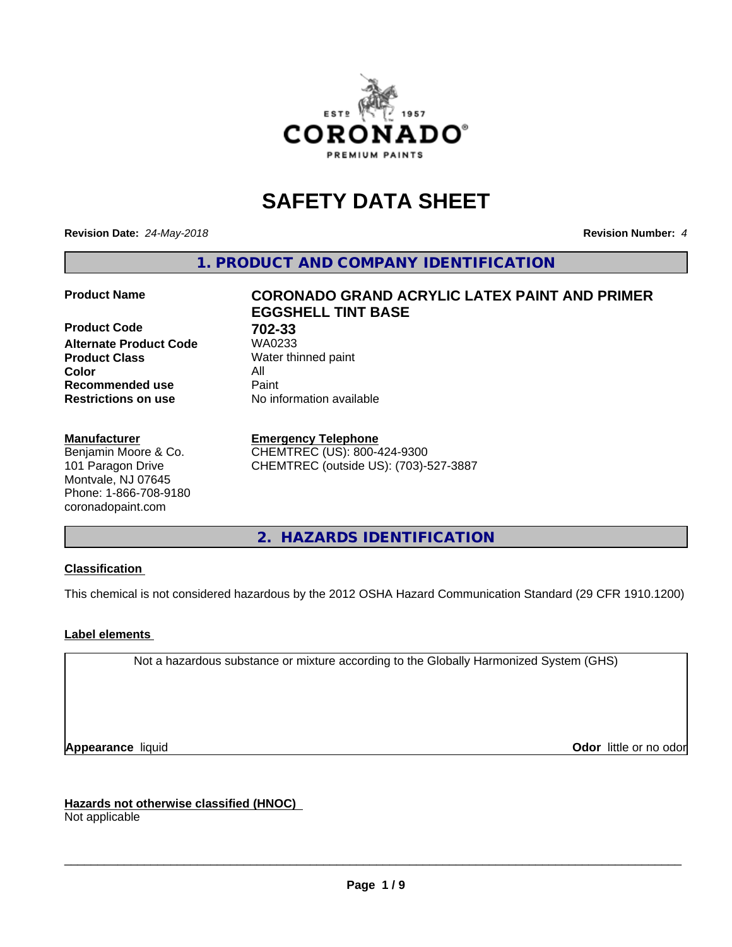

# **SAFETY DATA SHEET**

**Revision Date:** *24-May-2018* **Revision Number:** *4*

**1. PRODUCT AND COMPANY IDENTIFICATION**

**Product Code 61 702-33**<br>**Alternate Product Code 61 702-33 Alternate Product Code Product Class** Water thinned paint<br> **Color** All **Color** All **Recommended use Caint Restrictions on use** No information available

#### **Manufacturer**

Benjamin Moore & Co. 101 Paragon Drive Montvale, NJ 07645 Phone: 1-866-708-9180 coronadopaint.com

## **Product Name CORONADO GRAND ACRYLIC LATEX PAINT AND PRIMER EGGSHELL TINT BASE**

#### **Emergency Telephone**

CHEMTREC (US): 800-424-9300 CHEMTREC (outside US): (703)-527-3887

**2. HAZARDS IDENTIFICATION**

#### **Classification**

This chemical is not considered hazardous by the 2012 OSHA Hazard Communication Standard (29 CFR 1910.1200)

#### **Label elements**

Not a hazardous substance or mixture according to the Globally Harmonized System (GHS)

**Appearance** liquid **Contract Contract Contract Contract Contract Contract Contract Contract Contract Contract Contract Contract Contract Contract Contract Contract Contract Contract Contract Contract Contract Contract Con** 

**Hazards not otherwise classified (HNOC)**

Not applicable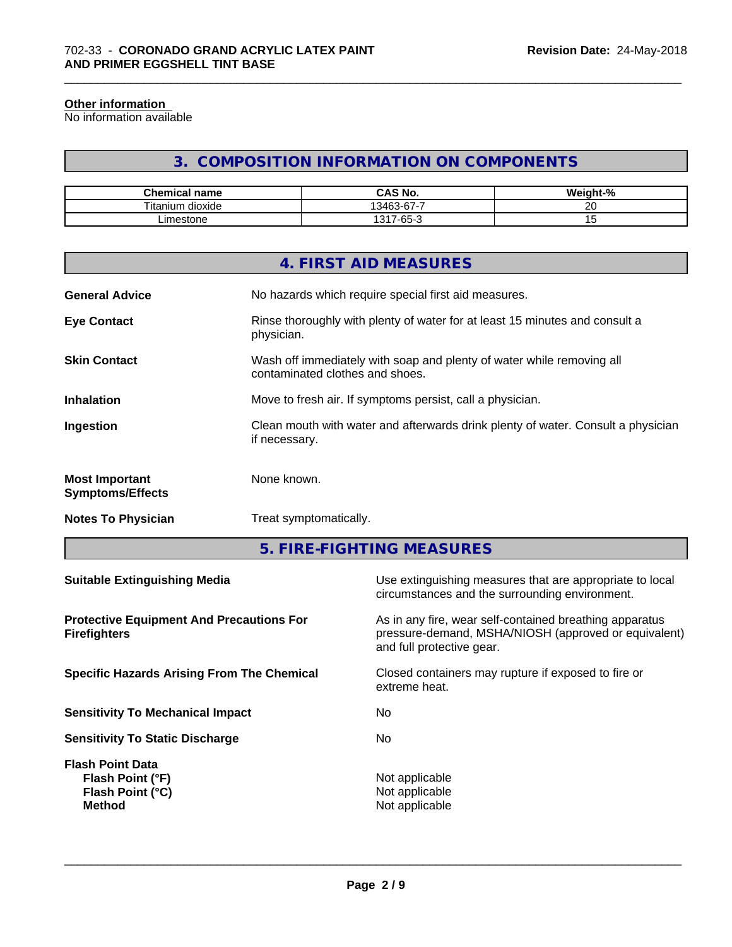#### **Other information**

No information available

## **3. COMPOSITION INFORMATION ON COMPONENTS**

\_\_\_\_\_\_\_\_\_\_\_\_\_\_\_\_\_\_\_\_\_\_\_\_\_\_\_\_\_\_\_\_\_\_\_\_\_\_\_\_\_\_\_\_\_\_\_\_\_\_\_\_\_\_\_\_\_\_\_\_\_\_\_\_\_\_\_\_\_\_\_\_\_\_\_\_\_\_\_\_\_\_\_\_\_\_\_\_\_\_\_\_\_

| Chemical<br>⊟name         | O M.<br>r۸<br>CAS No.         | <br>$\sim$<br>ה י |
|---------------------------|-------------------------------|-------------------|
| Titaniu.<br>dioxide<br>um | $\sim$<br>-<br>13463<br>3-07- | ~~                |
| imestone                  | $\sim$<br>1317<br>-65-        |                   |

|                                                  | 4. FIRST AID MEASURES                                                                                    |
|--------------------------------------------------|----------------------------------------------------------------------------------------------------------|
| <b>General Advice</b>                            | No hazards which require special first aid measures.                                                     |
| <b>Eye Contact</b>                               | Rinse thoroughly with plenty of water for at least 15 minutes and consult a<br>physician.                |
| <b>Skin Contact</b>                              | Wash off immediately with soap and plenty of water while removing all<br>contaminated clothes and shoes. |
| <b>Inhalation</b>                                | Move to fresh air. If symptoms persist, call a physician.                                                |
| Ingestion                                        | Clean mouth with water and afterwards drink plenty of water. Consult a physician<br>if necessary.        |
| <b>Most Important</b><br><b>Symptoms/Effects</b> | None known.                                                                                              |
| <b>Notes To Physician</b>                        | Treat symptomatically.                                                                                   |
|                                                  |                                                                                                          |

**5. FIRE-FIGHTING MEASURES**

| As in any fire, wear self-contained breathing apparatus<br>pressure-demand, MSHA/NIOSH (approved or equivalent)<br>and full protective gear.<br>Closed containers may rupture if exposed to fire or<br>extreme heat.<br>No.<br>No.<br>Not applicable<br>Flash Point (°F)<br>Not applicable<br>Flash Point (°C)<br>Not applicable<br><b>Method</b> | <b>Suitable Extinguishing Media</b>                                    | Use extinguishing measures that are appropriate to local<br>circumstances and the surrounding environment. |
|---------------------------------------------------------------------------------------------------------------------------------------------------------------------------------------------------------------------------------------------------------------------------------------------------------------------------------------------------|------------------------------------------------------------------------|------------------------------------------------------------------------------------------------------------|
|                                                                                                                                                                                                                                                                                                                                                   | <b>Protective Equipment And Precautions For</b><br><b>Firefighters</b> |                                                                                                            |
|                                                                                                                                                                                                                                                                                                                                                   | <b>Specific Hazards Arising From The Chemical</b>                      |                                                                                                            |
|                                                                                                                                                                                                                                                                                                                                                   | <b>Sensitivity To Mechanical Impact</b>                                |                                                                                                            |
|                                                                                                                                                                                                                                                                                                                                                   | <b>Sensitivity To Static Discharge</b>                                 |                                                                                                            |
|                                                                                                                                                                                                                                                                                                                                                   | <b>Flash Point Data</b>                                                |                                                                                                            |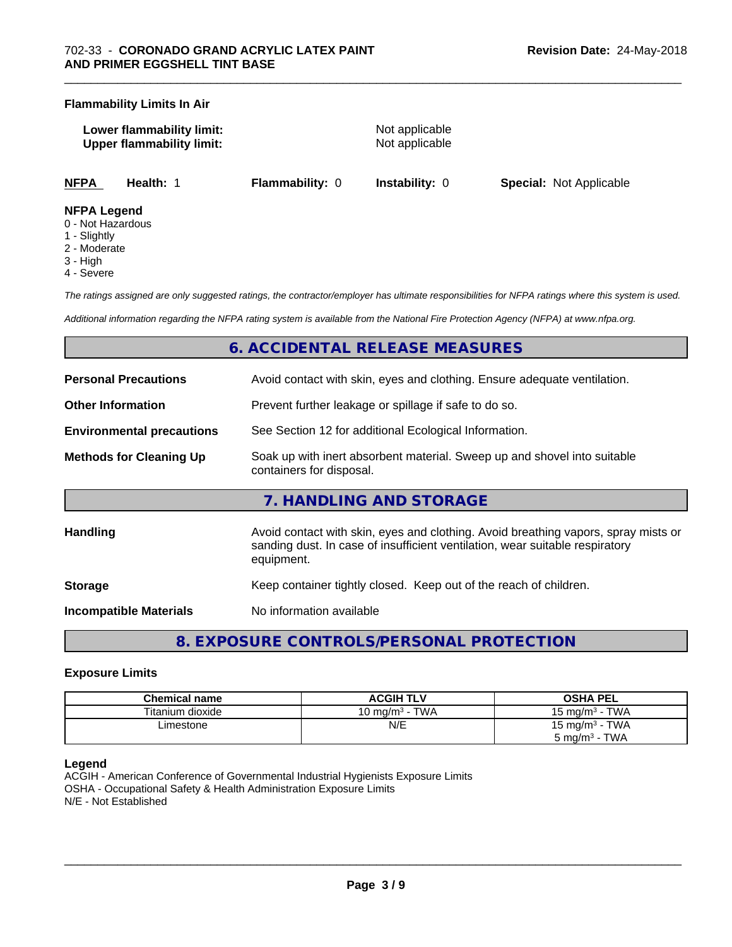#### **Flammability Limits In Air**

| Lower flammability limit:        |  |
|----------------------------------|--|
| <b>Upper flammability limit:</b> |  |

**Not applicable Not applicable** 

**NFPA Health:** 1 **Flammability:** 0 **Instability:** 0 **Special:** Not Applicable

#### **NFPA Legend**

- 0 Not Hazardous
- 1 Slightly
- 2 Moderate
- 3 High
- 4 Severe

*The ratings assigned are only suggested ratings, the contractor/employer has ultimate responsibilities for NFPA ratings where this system is used.*

*Additional information regarding the NFPA rating system is available from the National Fire Protection Agency (NFPA) at www.nfpa.org.*

## **6. ACCIDENTAL RELEASE MEASURES**

| <b>Personal Precautions</b>      | Avoid contact with skin, eyes and clothing. Ensure adequate ventilation.                                                                                                         |  |  |
|----------------------------------|----------------------------------------------------------------------------------------------------------------------------------------------------------------------------------|--|--|
| <b>Other Information</b>         | Prevent further leakage or spillage if safe to do so.                                                                                                                            |  |  |
| <b>Environmental precautions</b> | See Section 12 for additional Ecological Information.                                                                                                                            |  |  |
| <b>Methods for Cleaning Up</b>   | Soak up with inert absorbent material. Sweep up and shovel into suitable<br>containers for disposal.                                                                             |  |  |
|                                  | 7. HANDLING AND STORAGE                                                                                                                                                          |  |  |
| <b>Handling</b>                  | Avoid contact with skin, eyes and clothing. Avoid breathing vapors, spray mists or<br>sanding dust. In case of insufficient ventilation, wear suitable respiratory<br>equipment. |  |  |
| <b>Storage</b>                   | Keep container tightly closed. Keep out of the reach of children.                                                                                                                |  |  |
| <b>Incompatible Materials</b>    | No information available                                                                                                                                                         |  |  |

**8. EXPOSURE CONTROLS/PERSONAL PROTECTION**

#### **Exposure Limits**

| <b>Chemical name</b> | <b>ACGIH TLV</b>  | OSHA PEL                       |
|----------------------|-------------------|--------------------------------|
| Titanium dioxide     | 10 mg/m $3$ - TWA | 15 mg/m $3$ - TWA              |
| Limestone            | N/E               | 15 mg/m $3$ - TWA              |
|                      |                   | - TWA<br>5 mg/m <sup>3</sup> - |

#### **Legend**

ACGIH - American Conference of Governmental Industrial Hygienists Exposure Limits OSHA - Occupational Safety & Health Administration Exposure Limits N/E - Not Established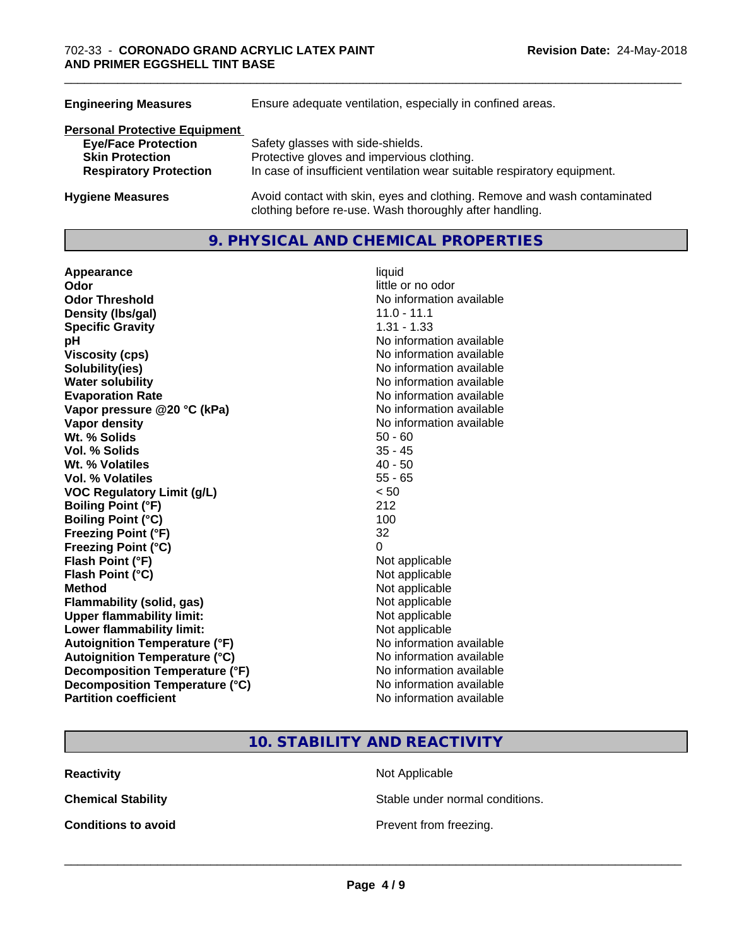| Ensure adequate ventilation, especially in confined areas.                                                                          |  |  |
|-------------------------------------------------------------------------------------------------------------------------------------|--|--|
|                                                                                                                                     |  |  |
| Safety glasses with side-shields.                                                                                                   |  |  |
| Protective gloves and impervious clothing.                                                                                          |  |  |
| In case of insufficient ventilation wear suitable respiratory equipment.                                                            |  |  |
| Avoid contact with skin, eyes and clothing. Remove and wash contaminated<br>clothing before re-use. Wash thoroughly after handling. |  |  |
|                                                                                                                                     |  |  |

### **9. PHYSICAL AND CHEMICAL PROPERTIES**

| Appearance                           | liquid                   |
|--------------------------------------|--------------------------|
| Odor                                 | little or no odor        |
| <b>Odor Threshold</b>                | No information available |
| Density (Ibs/gal)                    | $11.0 - 11.1$            |
| <b>Specific Gravity</b>              | $1.31 - 1.33$            |
| pH                                   | No information available |
| <b>Viscosity (cps)</b>               | No information available |
| Solubility(ies)                      | No information available |
| <b>Water solubility</b>              | No information available |
| <b>Evaporation Rate</b>              | No information available |
| Vapor pressure @20 °C (kPa)          | No information available |
| <b>Vapor density</b>                 | No information available |
| Wt. % Solids                         | $50 - 60$                |
| <b>Vol. % Solids</b>                 | $35 - 45$                |
| Wt. % Volatiles                      | $40 - 50$                |
| <b>Vol. % Volatiles</b>              | $55 - 65$                |
| <b>VOC Regulatory Limit (g/L)</b>    | < 50                     |
| <b>Boiling Point (°F)</b>            | 212                      |
| <b>Boiling Point (°C)</b>            | 100                      |
| <b>Freezing Point (°F)</b>           | 32                       |
| Freezing Point (°C)                  | $\Omega$                 |
| Flash Point (°F)                     | Not applicable           |
| Flash Point (°C)                     | Not applicable           |
| <b>Method</b>                        | Not applicable           |
| <b>Flammability (solid, gas)</b>     | Not applicable           |
| <b>Upper flammability limit:</b>     | Not applicable           |
| Lower flammability limit:            | Not applicable           |
| <b>Autoignition Temperature (°F)</b> | No information available |
| <b>Autoignition Temperature (°C)</b> | No information available |
| Decomposition Temperature (°F)       | No information available |
| Decomposition Temperature (°C)       | No information available |
| <b>Partition coefficient</b>         | No information available |

# **Odor** little or no odor **No information available No information available Viscosity (cps)** No information available **No information available No information available Evaporation Rate** No information available **No information available No information available**<br>50 - 60 **Not applicable Not applicable Not applicable Flammability (solid, gas)** Not applicable **Not applicable Not applicable No information available Autoignition Temperature (°C)** No information available **No information available No information available No information available**

## **10. STABILITY AND REACTIVITY**

**Reactivity** Not Applicable

**Chemical Stability Stable under normal conditions.** 

**Conditions to avoid Conditions to avoid Prevent from freezing.**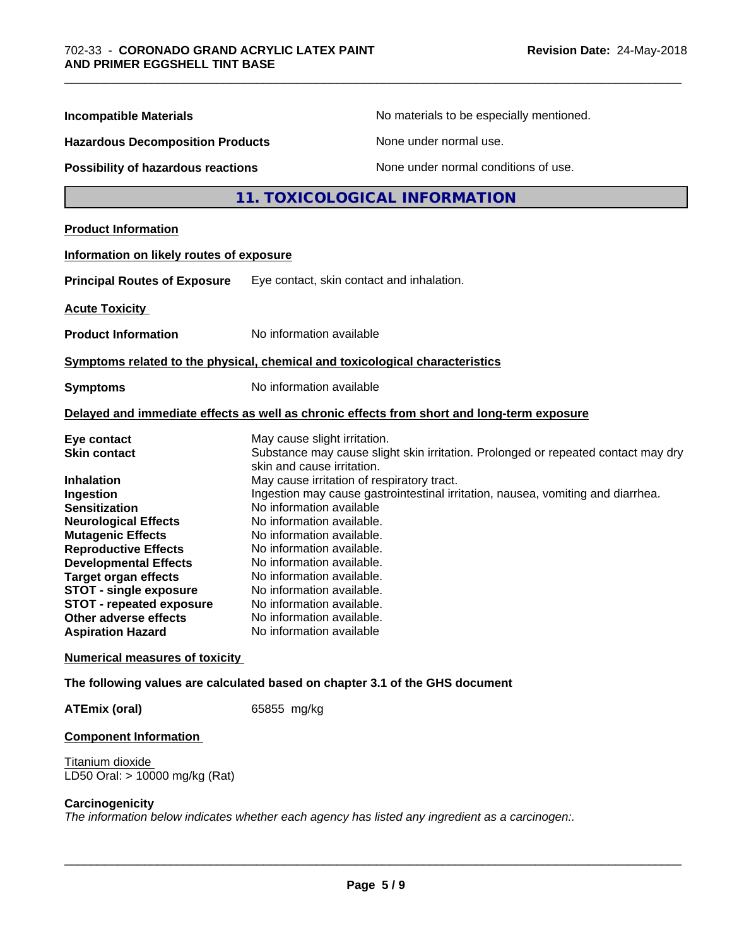| <b>Incompatible Materials</b><br><b>Hazardous Decomposition Products</b><br><b>Possibility of hazardous reactions</b> |                                                                                                                 | No materials to be especially mentioned.<br>None under normal use.                         |  |
|-----------------------------------------------------------------------------------------------------------------------|-----------------------------------------------------------------------------------------------------------------|--------------------------------------------------------------------------------------------|--|
|                                                                                                                       |                                                                                                                 |                                                                                            |  |
|                                                                                                                       |                                                                                                                 |                                                                                            |  |
| <b>Product Information</b>                                                                                            |                                                                                                                 |                                                                                            |  |
| Information on likely routes of exposure                                                                              |                                                                                                                 |                                                                                            |  |
| <b>Principal Routes of Exposure</b>                                                                                   | Eye contact, skin contact and inhalation.                                                                       |                                                                                            |  |
| <b>Acute Toxicity</b>                                                                                                 |                                                                                                                 |                                                                                            |  |
| <b>Product Information</b>                                                                                            | No information available                                                                                        |                                                                                            |  |
| Symptoms related to the physical, chemical and toxicological characteristics                                          |                                                                                                                 |                                                                                            |  |
| <b>Symptoms</b>                                                                                                       | No information available                                                                                        |                                                                                            |  |
|                                                                                                                       |                                                                                                                 | Delayed and immediate effects as well as chronic effects from short and long-term exposure |  |
| Eye contact                                                                                                           | May cause slight irritation.                                                                                    |                                                                                            |  |
| <b>Skin contact</b>                                                                                                   | Substance may cause slight skin irritation. Prolonged or repeated contact may dry<br>skin and cause irritation. |                                                                                            |  |
| <b>Inhalation</b>                                                                                                     | May cause irritation of respiratory tract.                                                                      |                                                                                            |  |
| Ingestion                                                                                                             |                                                                                                                 | Ingestion may cause gastrointestinal irritation, nausea, vomiting and diarrhea.            |  |
| <b>Sensitization</b>                                                                                                  | No information available                                                                                        |                                                                                            |  |
| <b>Neurological Effects</b>                                                                                           | No information available.                                                                                       |                                                                                            |  |
| <b>Mutagenic Effects</b>                                                                                              | No information available.                                                                                       |                                                                                            |  |
| <b>Reproductive Effects</b>                                                                                           | No information available.                                                                                       |                                                                                            |  |
| <b>Developmental Effects</b>                                                                                          | No information available.                                                                                       |                                                                                            |  |
| <b>Target organ effects</b>                                                                                           | No information available.                                                                                       |                                                                                            |  |
| <b>STOT - single exposure</b>                                                                                         | No information available.                                                                                       |                                                                                            |  |
| <b>STOT - repeated exposure</b><br>Other adverse effects                                                              | No information available.                                                                                       |                                                                                            |  |
| <b>Aspiration Hazard</b>                                                                                              | No information available.<br>No information available                                                           |                                                                                            |  |
| <b>Numerical measures of toxicity</b>                                                                                 |                                                                                                                 |                                                                                            |  |
| The following values are calculated based on chapter 3.1 of the GHS document                                          |                                                                                                                 |                                                                                            |  |
| <b>ATEmix (oral)</b>                                                                                                  | 65855 mg/kg                                                                                                     |                                                                                            |  |
|                                                                                                                       |                                                                                                                 |                                                                                            |  |

#### **Component Information**

Titanium dioxide LD50 Oral: > 10000 mg/kg (Rat)

#### **Carcinogenicity**

*The information below indicateswhether each agency has listed any ingredient as a carcinogen:.*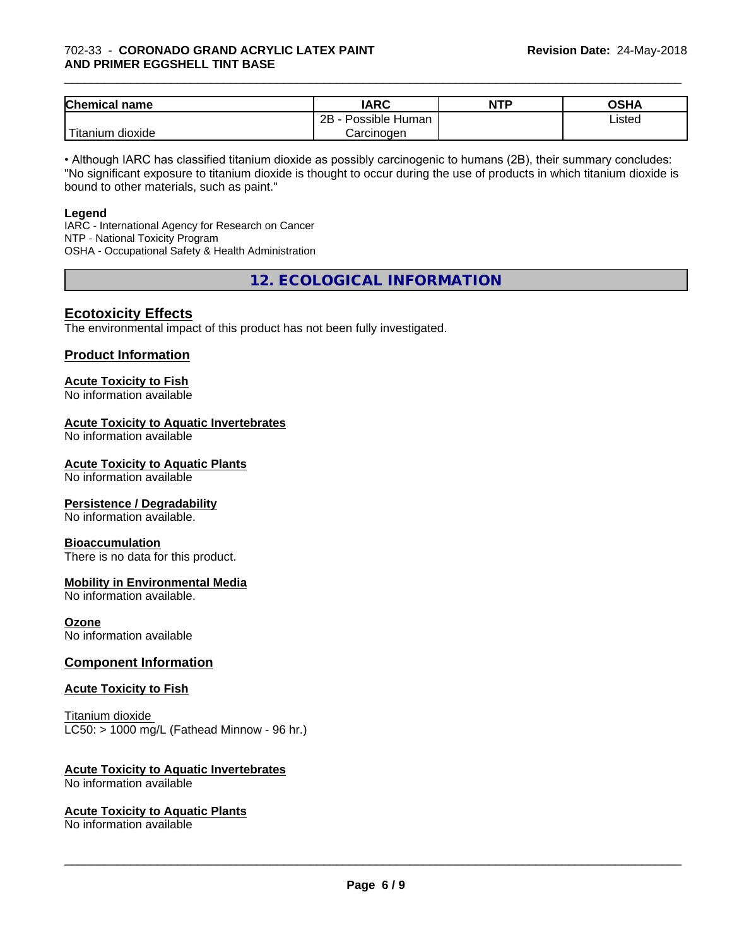#### 702-33 - **CORONADO GRAND ACRYLIC LATEX PAINT AND PRIMER EGGSHELL TINT BASE**

| <b>Chemical name</b>                       | <b>IARC</b>          | <b>NTP</b> | OSHA   |
|--------------------------------------------|----------------------|------------|--------|
|                                            | 2B<br>Possible Human |            | Listed |
| . . <del>. .</del><br>dioxide<br>l itanıum | Carcinogen           |            |        |

\_\_\_\_\_\_\_\_\_\_\_\_\_\_\_\_\_\_\_\_\_\_\_\_\_\_\_\_\_\_\_\_\_\_\_\_\_\_\_\_\_\_\_\_\_\_\_\_\_\_\_\_\_\_\_\_\_\_\_\_\_\_\_\_\_\_\_\_\_\_\_\_\_\_\_\_\_\_\_\_\_\_\_\_\_\_\_\_\_\_\_\_\_

• Although IARC has classified titanium dioxide as possibly carcinogenic to humans (2B), their summary concludes: "No significant exposure to titanium dioxide is thought to occur during the use of products in which titanium dioxide is bound to other materials, such as paint."

#### **Legend**

IARC - International Agency for Research on Cancer NTP - National Toxicity Program OSHA - Occupational Safety & Health Administration

**12. ECOLOGICAL INFORMATION**

### **Ecotoxicity Effects**

The environmental impact of this product has not been fully investigated.

#### **Product Information**

## **Acute Toxicity to Fish**

No information available

#### **Acute Toxicity to Aquatic Invertebrates**

No information available

#### **Acute Toxicity to Aquatic Plants**

No information available

#### **Persistence / Degradability**

No information available.

#### **Bioaccumulation**

There is no data for this product.

#### **Mobility in Environmental Media**

No information available.

#### **Ozone**

No information available

#### **Component Information**

#### **Acute Toxicity to Fish**

Titanium dioxide  $LC50:$  > 1000 mg/L (Fathead Minnow - 96 hr.)

#### **Acute Toxicity to Aquatic Invertebrates**

No information available

#### **Acute Toxicity to Aquatic Plants**

No information available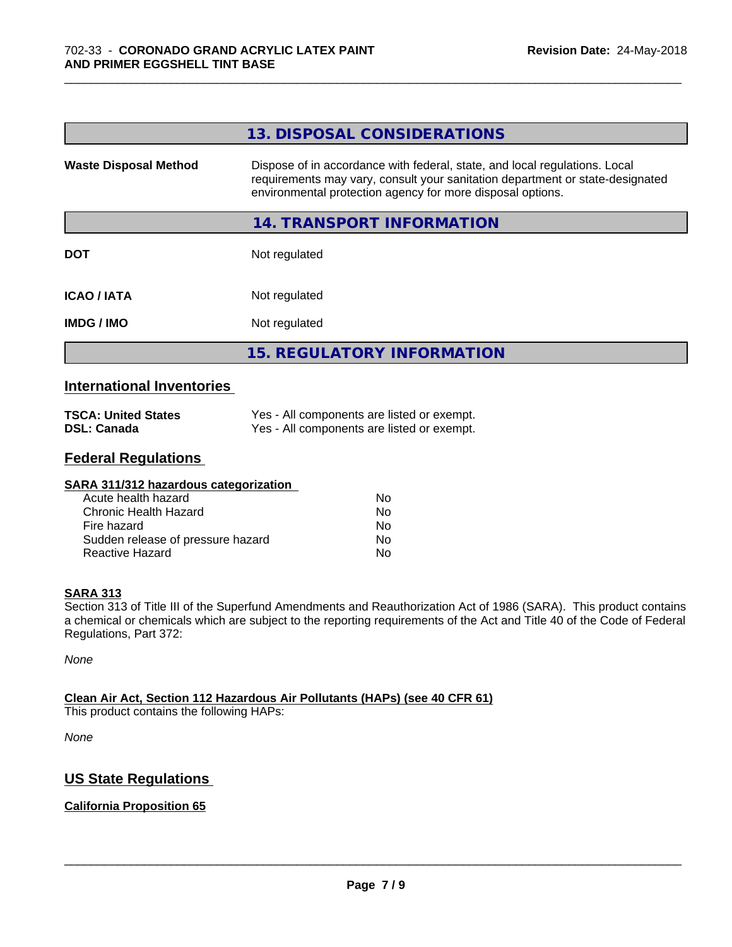|                              | 13. DISPOSAL CONSIDERATIONS                                                                                                                                                                                               |
|------------------------------|---------------------------------------------------------------------------------------------------------------------------------------------------------------------------------------------------------------------------|
| <b>Waste Disposal Method</b> | Dispose of in accordance with federal, state, and local regulations. Local<br>requirements may vary, consult your sanitation department or state-designated<br>environmental protection agency for more disposal options. |
|                              | 14. TRANSPORT INFORMATION                                                                                                                                                                                                 |
| <b>DOT</b>                   | Not regulated                                                                                                                                                                                                             |
| <b>ICAO/IATA</b>             | Not regulated                                                                                                                                                                                                             |
| <b>IMDG/IMO</b>              | Not regulated                                                                                                                                                                                                             |
|                              | <b>15. REGULATORY INFORMATION</b>                                                                                                                                                                                         |

\_\_\_\_\_\_\_\_\_\_\_\_\_\_\_\_\_\_\_\_\_\_\_\_\_\_\_\_\_\_\_\_\_\_\_\_\_\_\_\_\_\_\_\_\_\_\_\_\_\_\_\_\_\_\_\_\_\_\_\_\_\_\_\_\_\_\_\_\_\_\_\_\_\_\_\_\_\_\_\_\_\_\_\_\_\_\_\_\_\_\_\_\_

#### **International Inventories**

| <b>TSCA: United States</b> | Yes - All components are listed or exempt. |
|----------------------------|--------------------------------------------|
| <b>DSL: Canada</b>         | Yes - All components are listed or exempt. |

## **Federal Regulations**

| SARA 311/312 hazardous categorization |    |  |
|---------------------------------------|----|--|
| Acute health hazard                   | Nο |  |
| Chronic Health Hazard                 | No |  |
| Fire hazard                           | No |  |
| Sudden release of pressure hazard     | No |  |
| Reactive Hazard                       | No |  |

#### **SARA 313**

Section 313 of Title III of the Superfund Amendments and Reauthorization Act of 1986 (SARA). This product contains a chemical or chemicals which are subject to the reporting requirements of the Act and Title 40 of the Code of Federal Regulations, Part 372:

*None*

#### **Clean Air Act,Section 112 Hazardous Air Pollutants (HAPs) (see 40 CFR 61)**

This product contains the following HAPs:

*None*

## **US State Regulations**

#### **California Proposition 65**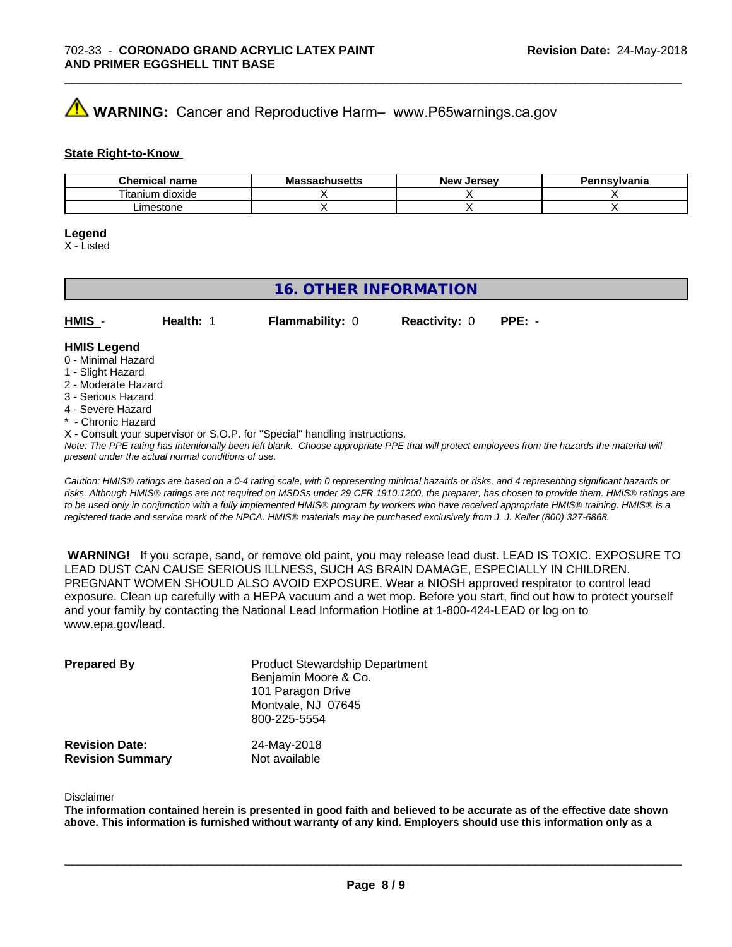## **AVIMARNING:** Cancer and Reproductive Harm– www.P65warnings.ca.gov

#### **State Right-to-Know**

| <b>Chemical</b><br>' name          | IVIC<br>avnustus | <b>Jerse</b> v<br><b>Nev</b> | าnsvlvania |
|------------------------------------|------------------|------------------------------|------------|
| $-$<br><br>um<br>dioxide<br>ાtanıเ |                  |                              |            |
| m<br>סו וטופ:                      |                  |                              |            |

#### **Legend**

X - Listed

## **16. OTHER INFORMATION**

| HMIS | Health: | <b>Flammability: 0</b> | <b>Reactivity: 0 PPE: -</b> |  |
|------|---------|------------------------|-----------------------------|--|
|      |         |                        |                             |  |

#### **HMIS Legend** 0 - Minimal Hazard

- 1 Slight Hazard
- 2 Moderate Hazard
- 3 Serious Hazard
- 4 Severe Hazard
- \* Chronic Hazard
- X Consult your supervisor or S.O.P. for "Special" handling instructions.

*Note: The PPE rating has intentionally been left blank. Choose appropriate PPE that will protect employees from the hazards the material will present under the actual normal conditions of use.*

*Caution: HMISÒ ratings are based on a 0-4 rating scale, with 0 representing minimal hazards or risks, and 4 representing significant hazards or risks. Although HMISÒ ratings are not required on MSDSs under 29 CFR 1910.1200, the preparer, has chosen to provide them. HMISÒ ratings are to be used only in conjunction with a fully implemented HMISÒ program by workers who have received appropriate HMISÒ training. HMISÒ is a registered trade and service mark of the NPCA. HMISÒ materials may be purchased exclusively from J. J. Keller (800) 327-6868.*

 **WARNING!** If you scrape, sand, or remove old paint, you may release lead dust. LEAD IS TOXIC. EXPOSURE TO LEAD DUST CAN CAUSE SERIOUS ILLNESS, SUCH AS BRAIN DAMAGE, ESPECIALLY IN CHILDREN. PREGNANT WOMEN SHOULD ALSO AVOID EXPOSURE.Wear a NIOSH approved respirator to control lead exposure. Clean up carefully with a HEPA vacuum and a wet mop. Before you start, find out how to protect yourself and your family by contacting the National Lead Information Hotline at 1-800-424-LEAD or log on to www.epa.gov/lead.

| <b>Prepared By</b>                               | <b>Product Stewardship Department</b><br>Benjamin Moore & Co.<br>101 Paragon Drive<br>Montvale, NJ 07645<br>800-225-5554 |  |
|--------------------------------------------------|--------------------------------------------------------------------------------------------------------------------------|--|
| <b>Revision Date:</b><br><b>Revision Summary</b> | 24-May-2018<br>Not available                                                                                             |  |

#### Disclaimer

The information contained herein is presented in good faith and believed to be accurate as of the effective date shown above. This information is furnished without warranty of any kind. Employers should use this information only as a